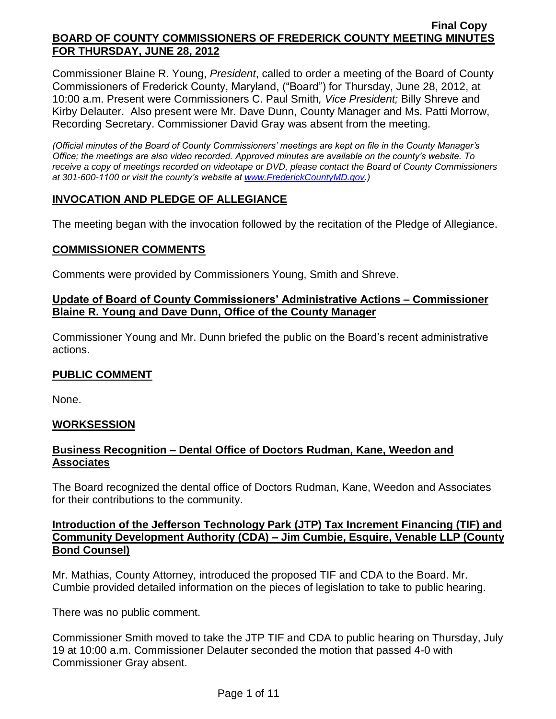Commissioner Blaine R. Young, *President*, called to order a meeting of the Board of County Commissioners of Frederick County, Maryland, ("Board") for Thursday, June 28, 2012, at 10:00 a.m. Present were Commissioners C. Paul Smith*, Vice President;* Billy Shreve and Kirby Delauter. Also present were Mr. Dave Dunn, County Manager and Ms. Patti Morrow, Recording Secretary. Commissioner David Gray was absent from the meeting.

*(Official minutes of the Board of County Commissioners' meetings are kept on file in the County Manager's Office; the meetings are also video recorded. Approved minutes are available on the county's website. To receive a copy of meetings recorded on videotape or DVD, please contact the Board of County Commissioners at 301-600-1100 or visit the county's website at [www.FrederickCountyMD.gov.](http://www.frederickcountymd.gov/))*

# **INVOCATION AND PLEDGE OF ALLEGIANCE**

The meeting began with the invocation followed by the recitation of the Pledge of Allegiance.

### **COMMISSIONER COMMENTS**

Comments were provided by Commissioners Young, Smith and Shreve.

### **Update of Board of County Commissioners' Administrative Actions – Commissioner Blaine R. Young and Dave Dunn, Office of the County Manager**

Commissioner Young and Mr. Dunn briefed the public on the Board's recent administrative actions.

## **PUBLIC COMMENT**

None.

## **WORKSESSION**

## **Business Recognition – Dental Office of Doctors Rudman, Kane, Weedon and Associates**

The Board recognized the dental office of Doctors Rudman, Kane, Weedon and Associates for their contributions to the community.

## **Introduction of the Jefferson Technology Park (JTP) Tax Increment Financing (TIF) and Community Development Authority (CDA) – Jim Cumbie, Esquire, Venable LLP (County Bond Counsel)**

Mr. Mathias, County Attorney, introduced the proposed TIF and CDA to the Board. Mr. Cumbie provided detailed information on the pieces of legislation to take to public hearing.

There was no public comment.

Commissioner Smith moved to take the JTP TIF and CDA to public hearing on Thursday, July 19 at 10:00 a.m. Commissioner Delauter seconded the motion that passed 4-0 with Commissioner Gray absent.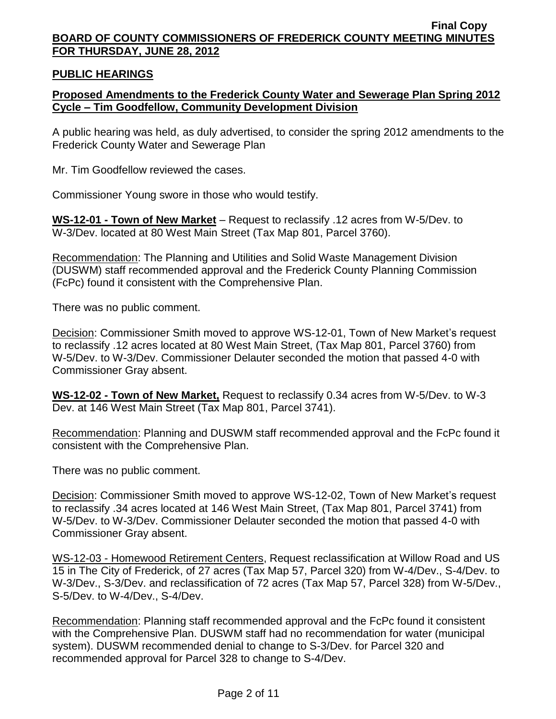## **PUBLIC HEARINGS**

## **Proposed Amendments to the Frederick County Water and Sewerage Plan Spring 2012 Cycle – Tim Goodfellow, Community Development Division**

A public hearing was held, as duly advertised, to consider the spring 2012 amendments to the Frederick County Water and Sewerage Plan

Mr. Tim Goodfellow reviewed the cases.

Commissioner Young swore in those who would testify.

**WS-12-01 - Town of New Market** – Request to reclassify .12 acres from W-5/Dev. to W-3/Dev. located at 80 West Main Street (Tax Map 801, Parcel 3760).

Recommendation: The Planning and Utilities and Solid Waste Management Division (DUSWM) staff recommended approval and the Frederick County Planning Commission (FcPc) found it consistent with the Comprehensive Plan.

There was no public comment.

Decision: Commissioner Smith moved to approve WS-12-01, Town of New Market's request to reclassify .12 acres located at 80 West Main Street, (Tax Map 801, Parcel 3760) from W-5/Dev. to W-3/Dev. Commissioner Delauter seconded the motion that passed 4-0 with Commissioner Gray absent.

**WS-12-02 - Town of New Market,** Request to reclassify 0.34 acres from W-5/Dev. to W-3 Dev. at 146 West Main Street (Tax Map 801, Parcel 3741).

Recommendation: Planning and DUSWM staff recommended approval and the FcPc found it consistent with the Comprehensive Plan.

There was no public comment.

Decision: Commissioner Smith moved to approve WS-12-02, Town of New Market's request to reclassify .34 acres located at 146 West Main Street, (Tax Map 801, Parcel 3741) from W-5/Dev. to W-3/Dev. Commissioner Delauter seconded the motion that passed 4-0 with Commissioner Gray absent.

WS-12-03 - Homewood Retirement Centers, Request reclassification at Willow Road and US 15 in The City of Frederick, of 27 acres (Tax Map 57, Parcel 320) from W-4/Dev., S-4/Dev. to W-3/Dev., S-3/Dev. and reclassification of 72 acres (Tax Map 57, Parcel 328) from W-5/Dev., S-5/Dev. to W-4/Dev., S-4/Dev.

Recommendation: Planning staff recommended approval and the FcPc found it consistent with the Comprehensive Plan. DUSWM staff had no recommendation for water (municipal system). DUSWM recommended denial to change to S-3/Dev. for Parcel 320 and recommended approval for Parcel 328 to change to S-4/Dev.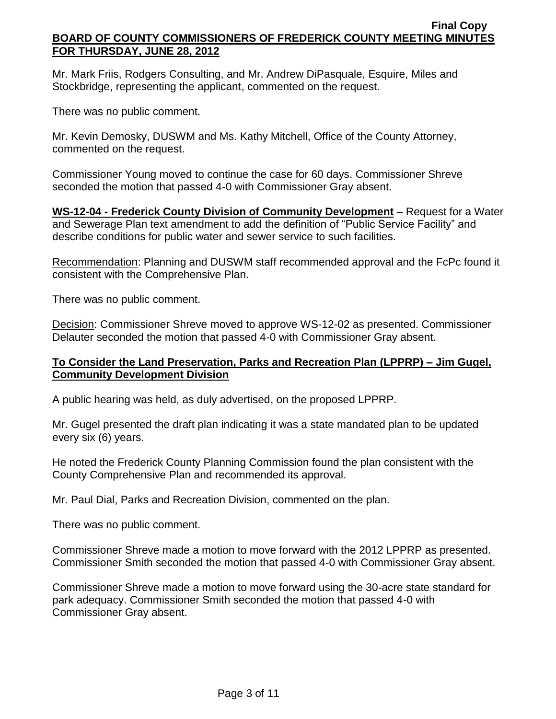Mr. Mark Friis, Rodgers Consulting, and Mr. Andrew DiPasquale, Esquire, Miles and Stockbridge, representing the applicant, commented on the request.

There was no public comment.

Mr. Kevin Demosky, DUSWM and Ms. Kathy Mitchell, Office of the County Attorney, commented on the request.

Commissioner Young moved to continue the case for 60 days. Commissioner Shreve seconded the motion that passed 4-0 with Commissioner Gray absent.

**WS-12-04 - Frederick County Division of Community Development** – Request for a Water and Sewerage Plan text amendment to add the definition of "Public Service Facility" and describe conditions for public water and sewer service to such facilities.

Recommendation: Planning and DUSWM staff recommended approval and the FcPc found it consistent with the Comprehensive Plan.

There was no public comment.

Decision: Commissioner Shreve moved to approve WS-12-02 as presented. Commissioner Delauter seconded the motion that passed 4-0 with Commissioner Gray absent.

# **To Consider the Land Preservation, Parks and Recreation Plan (LPPRP) – Jim Gugel, Community Development Division**

A public hearing was held, as duly advertised, on the proposed LPPRP.

Mr. Gugel presented the draft plan indicating it was a state mandated plan to be updated every six (6) years.

He noted the Frederick County Planning Commission found the plan consistent with the County Comprehensive Plan and recommended its approval.

Mr. Paul Dial, Parks and Recreation Division, commented on the plan.

There was no public comment.

Commissioner Shreve made a motion to move forward with the 2012 LPPRP as presented. Commissioner Smith seconded the motion that passed 4-0 with Commissioner Gray absent.

Commissioner Shreve made a motion to move forward using the 30-acre state standard for park adequacy. Commissioner Smith seconded the motion that passed 4-0 with Commissioner Gray absent.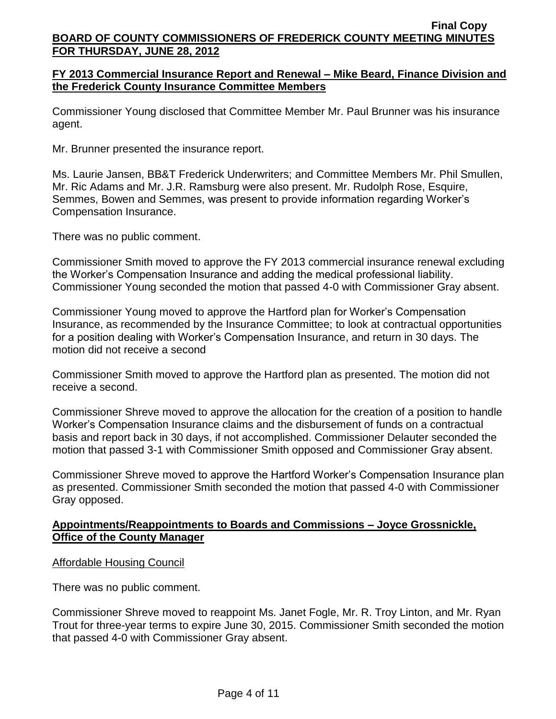## **FY 2013 Commercial Insurance Report and Renewal – Mike Beard, Finance Division and the Frederick County Insurance Committee Members**

Commissioner Young disclosed that Committee Member Mr. Paul Brunner was his insurance agent.

Mr. Brunner presented the insurance report.

Ms. Laurie Jansen, BB&T Frederick Underwriters; and Committee Members Mr. Phil Smullen, Mr. Ric Adams and Mr. J.R. Ramsburg were also present. Mr. Rudolph Rose, Esquire, Semmes, Bowen and Semmes, was present to provide information regarding Worker's Compensation Insurance.

There was no public comment.

Commissioner Smith moved to approve the FY 2013 commercial insurance renewal excluding the Worker's Compensation Insurance and adding the medical professional liability. Commissioner Young seconded the motion that passed 4-0 with Commissioner Gray absent.

Commissioner Young moved to approve the Hartford plan for Worker's Compensation Insurance, as recommended by the Insurance Committee; to look at contractual opportunities for a position dealing with Worker's Compensation Insurance, and return in 30 days. The motion did not receive a second

Commissioner Smith moved to approve the Hartford plan as presented. The motion did not receive a second.

Commissioner Shreve moved to approve the allocation for the creation of a position to handle Worker's Compensation Insurance claims and the disbursement of funds on a contractual basis and report back in 30 days, if not accomplished. Commissioner Delauter seconded the motion that passed 3-1 with Commissioner Smith opposed and Commissioner Gray absent.

Commissioner Shreve moved to approve the Hartford Worker's Compensation Insurance plan as presented. Commissioner Smith seconded the motion that passed 4-0 with Commissioner Gray opposed.

## **Appointments/Reappointments to Boards and Commissions – Joyce Grossnickle, Office of the County Manager**

### Affordable Housing Council

There was no public comment.

Commissioner Shreve moved to reappoint Ms. Janet Fogle, Mr. R. Troy Linton, and Mr. Ryan Trout for three-year terms to expire June 30, 2015. Commissioner Smith seconded the motion that passed 4-0 with Commissioner Gray absent.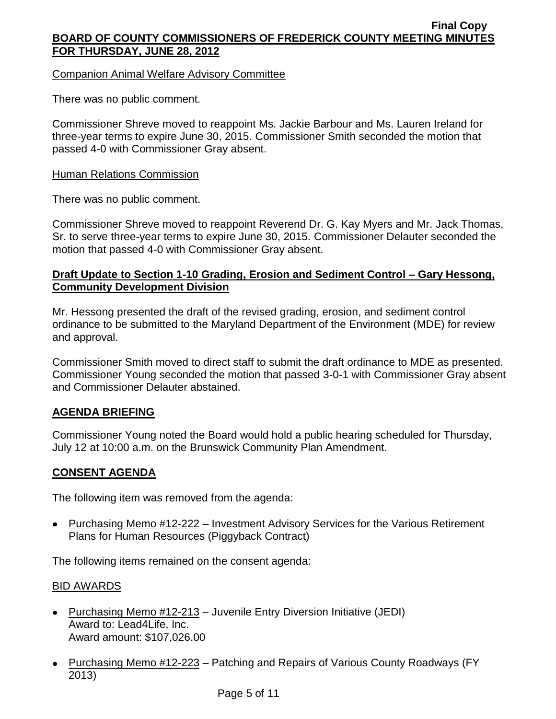## Companion Animal Welfare Advisory Committee

There was no public comment.

Commissioner Shreve moved to reappoint Ms. Jackie Barbour and Ms. Lauren Ireland for three-year terms to expire June 30, 2015. Commissioner Smith seconded the motion that passed 4-0 with Commissioner Gray absent.

### **Human Relations Commission**

There was no public comment.

Commissioner Shreve moved to reappoint Reverend Dr. G. Kay Myers and Mr. Jack Thomas, Sr. to serve three-year terms to expire June 30, 2015. Commissioner Delauter seconded the motion that passed 4-0 with Commissioner Gray absent.

## **Draft Update to Section 1-10 Grading, Erosion and Sediment Control – Gary Hessong, Community Development Division**

Mr. Hessong presented the draft of the revised grading, erosion, and sediment control ordinance to be submitted to the Maryland Department of the Environment (MDE) for review and approval.

Commissioner Smith moved to direct staff to submit the draft ordinance to MDE as presented. Commissioner Young seconded the motion that passed 3-0-1 with Commissioner Gray absent and Commissioner Delauter abstained.

## **AGENDA BRIEFING**

Commissioner Young noted the Board would hold a public hearing scheduled for Thursday, July 12 at 10:00 a.m. on the Brunswick Community Plan Amendment.

## **CONSENT AGENDA**

The following item was removed from the agenda:

• Purchasing Memo #12-222 – Investment Advisory Services for the Various Retirement Plans for Human Resources (Piggyback Contract)

The following items remained on the consent agenda:

### BID AWARDS

- Purchasing Memo #12-213 Juvenile Entry Diversion Initiative (JEDI) Award to: Lead4Life, Inc. Award amount: \$107,026.00
- Purchasing Memo #12-223 Patching and Repairs of Various County Roadways (FY 2013)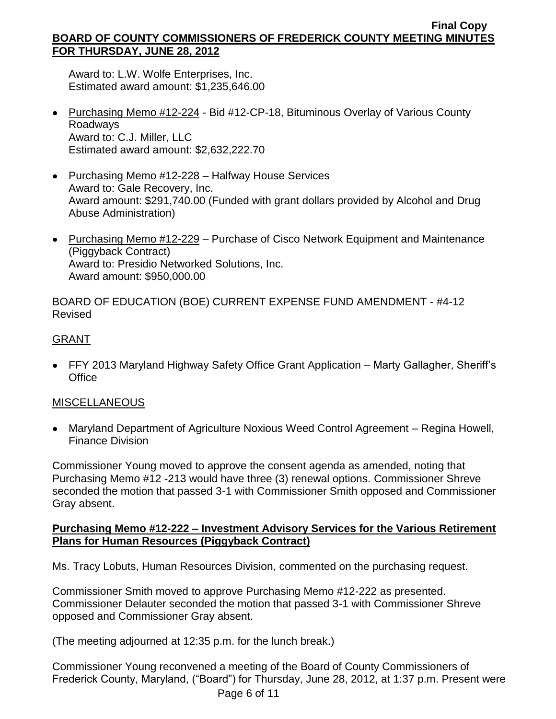Award to: L.W. Wolfe Enterprises, Inc. Estimated award amount: \$1,235,646.00

- Purchasing Memo #12-224 Bid #12-CP-18, Bituminous Overlay of Various County Roadways Award to: C.J. Miller, LLC Estimated award amount: \$2,632,222.70
- Purchasing Memo #12-228 Halfway House Services Award to: Gale Recovery, Inc. Award amount: \$291,740.00 (Funded with grant dollars provided by Alcohol and Drug Abuse Administration)
- Purchasing Memo #12-229 Purchase of Cisco Network Equipment and Maintenance (Piggyback Contract) Award to: Presidio Networked Solutions, Inc. Award amount: \$950,000.00

## BOARD OF EDUCATION (BOE) CURRENT EXPENSE FUND AMENDMENT - #4-12 Revised

# GRANT

• FFY 2013 Maryland Highway Safety Office Grant Application – Marty Gallagher, Sheriff's **Office** 

# MISCELLANEOUS

Maryland Department of Agriculture Noxious Weed Control Agreement – Regina Howell, Finance Division

Commissioner Young moved to approve the consent agenda as amended, noting that Purchasing Memo #12 -213 would have three (3) renewal options. Commissioner Shreve seconded the motion that passed 3-1 with Commissioner Smith opposed and Commissioner Gray absent.

## **Purchasing Memo #12-222 – Investment Advisory Services for the Various Retirement Plans for Human Resources (Piggyback Contract)**

Ms. Tracy Lobuts, Human Resources Division, commented on the purchasing request.

Commissioner Smith moved to approve Purchasing Memo #12-222 as presented. Commissioner Delauter seconded the motion that passed 3-1 with Commissioner Shreve opposed and Commissioner Gray absent.

(The meeting adjourned at 12:35 p.m. for the lunch break.)

Commissioner Young reconvened a meeting of the Board of County Commissioners of Frederick County, Maryland, ("Board") for Thursday, June 28, 2012, at 1:37 p.m. Present were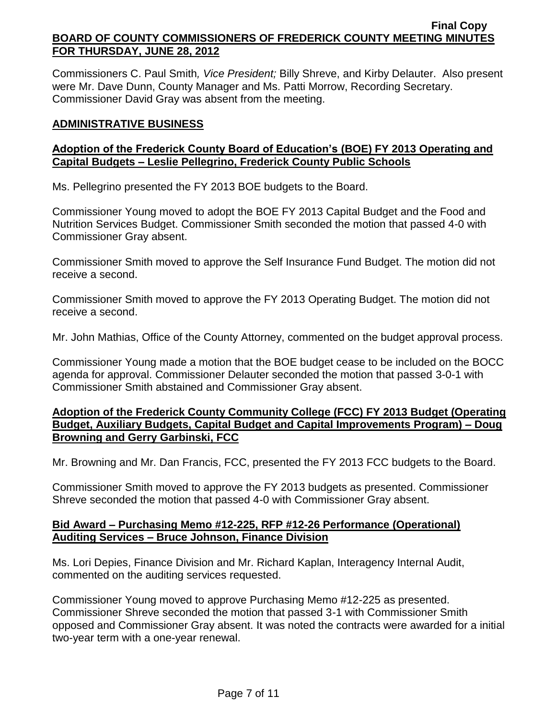Commissioners C. Paul Smith*, Vice President;* Billy Shreve, and Kirby Delauter. Also present were Mr. Dave Dunn, County Manager and Ms. Patti Morrow, Recording Secretary. Commissioner David Gray was absent from the meeting.

## **ADMINISTRATIVE BUSINESS**

## **Adoption of the Frederick County Board of Education's (BOE) FY 2013 Operating and Capital Budgets – Leslie Pellegrino, Frederick County Public Schools**

Ms. Pellegrino presented the FY 2013 BOE budgets to the Board.

Commissioner Young moved to adopt the BOE FY 2013 Capital Budget and the Food and Nutrition Services Budget. Commissioner Smith seconded the motion that passed 4-0 with Commissioner Gray absent.

Commissioner Smith moved to approve the Self Insurance Fund Budget. The motion did not receive a second.

Commissioner Smith moved to approve the FY 2013 Operating Budget. The motion did not receive a second.

Mr. John Mathias, Office of the County Attorney, commented on the budget approval process.

Commissioner Young made a motion that the BOE budget cease to be included on the BOCC agenda for approval. Commissioner Delauter seconded the motion that passed 3-0-1 with Commissioner Smith abstained and Commissioner Gray absent.

## **Adoption of the Frederick County Community College (FCC) FY 2013 Budget (Operating Budget, Auxiliary Budgets, Capital Budget and Capital Improvements Program) – Doug Browning and Gerry Garbinski, FCC**

Mr. Browning and Mr. Dan Francis, FCC, presented the FY 2013 FCC budgets to the Board.

Commissioner Smith moved to approve the FY 2013 budgets as presented. Commissioner Shreve seconded the motion that passed 4-0 with Commissioner Gray absent.

## **Bid Award – Purchasing Memo #12-225, RFP #12-26 Performance (Operational) Auditing Services – Bruce Johnson, Finance Division**

Ms. Lori Depies, Finance Division and Mr. Richard Kaplan, Interagency Internal Audit, commented on the auditing services requested.

Commissioner Young moved to approve Purchasing Memo #12-225 as presented. Commissioner Shreve seconded the motion that passed 3-1 with Commissioner Smith opposed and Commissioner Gray absent. It was noted the contracts were awarded for a initial two-year term with a one-year renewal.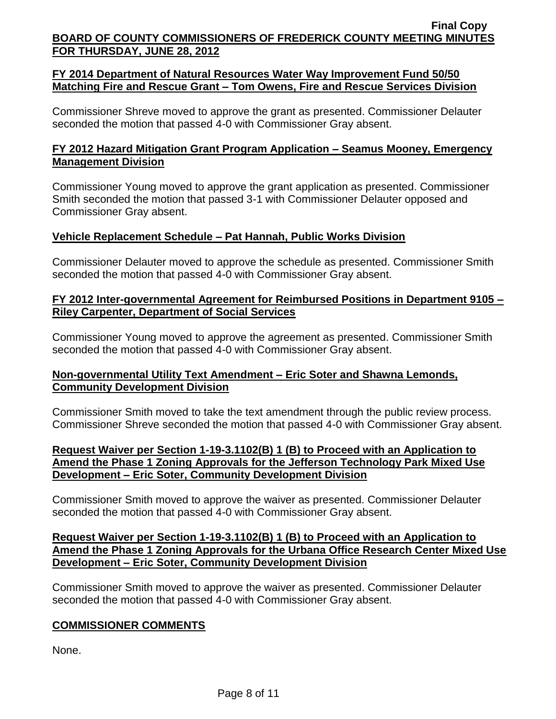## **FY 2014 Department of Natural Resources Water Way Improvement Fund 50/50 Matching Fire and Rescue Grant – Tom Owens, Fire and Rescue Services Division**

Commissioner Shreve moved to approve the grant as presented. Commissioner Delauter seconded the motion that passed 4-0 with Commissioner Gray absent.

# **FY 2012 Hazard Mitigation Grant Program Application – Seamus Mooney, Emergency Management Division**

Commissioner Young moved to approve the grant application as presented. Commissioner Smith seconded the motion that passed 3-1 with Commissioner Delauter opposed and Commissioner Gray absent.

## **Vehicle Replacement Schedule – Pat Hannah, Public Works Division**

Commissioner Delauter moved to approve the schedule as presented. Commissioner Smith seconded the motion that passed 4-0 with Commissioner Gray absent.

## **FY 2012 Inter-governmental Agreement for Reimbursed Positions in Department 9105 – Riley Carpenter, Department of Social Services**

Commissioner Young moved to approve the agreement as presented. Commissioner Smith seconded the motion that passed 4-0 with Commissioner Gray absent.

## **Non-governmental Utility Text Amendment – Eric Soter and Shawna Lemonds, Community Development Division**

Commissioner Smith moved to take the text amendment through the public review process. Commissioner Shreve seconded the motion that passed 4-0 with Commissioner Gray absent.

### **Request Waiver per Section 1-19-3.1102(B) 1 (B) to Proceed with an Application to Amend the Phase 1 Zoning Approvals for the Jefferson Technology Park Mixed Use Development – Eric Soter, Community Development Division**

Commissioner Smith moved to approve the waiver as presented. Commissioner Delauter seconded the motion that passed 4-0 with Commissioner Gray absent.

### **Request Waiver per Section 1-19-3.1102(B) 1 (B) to Proceed with an Application to Amend the Phase 1 Zoning Approvals for the Urbana Office Research Center Mixed Use Development – Eric Soter, Community Development Division**

Commissioner Smith moved to approve the waiver as presented. Commissioner Delauter seconded the motion that passed 4-0 with Commissioner Gray absent.

# **COMMISSIONER COMMENTS**

None.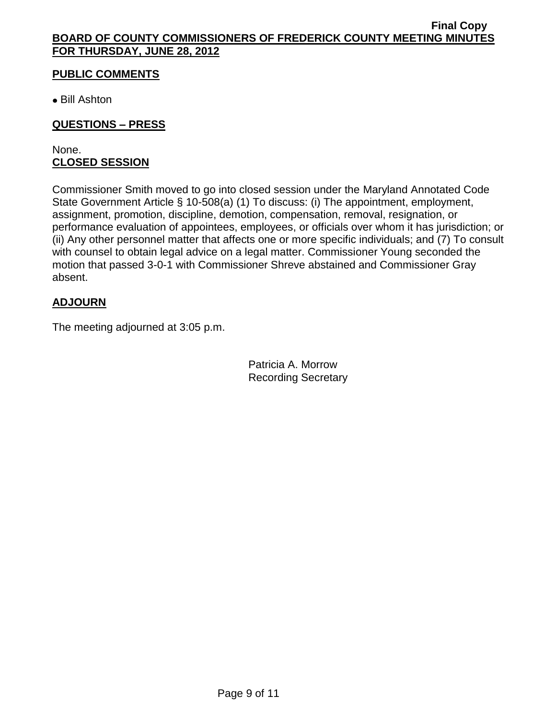# **PUBLIC COMMENTS**

Bill Ashton

# **QUESTIONS – PRESS**

None. **CLOSED SESSION**

Commissioner Smith moved to go into closed session under the Maryland Annotated Code State Government Article § 10-508(a) (1) To discuss: (i) The appointment, employment, assignment, promotion, discipline, demotion, compensation, removal, resignation, or performance evaluation of appointees, employees, or officials over whom it has jurisdiction; or (ii) Any other personnel matter that affects one or more specific individuals; and (7) To consult with counsel to obtain legal advice on a legal matter. Commissioner Young seconded the motion that passed 3-0-1 with Commissioner Shreve abstained and Commissioner Gray absent.

# **ADJOURN**

The meeting adjourned at 3:05 p.m.

Patricia A. Morrow Recording Secretary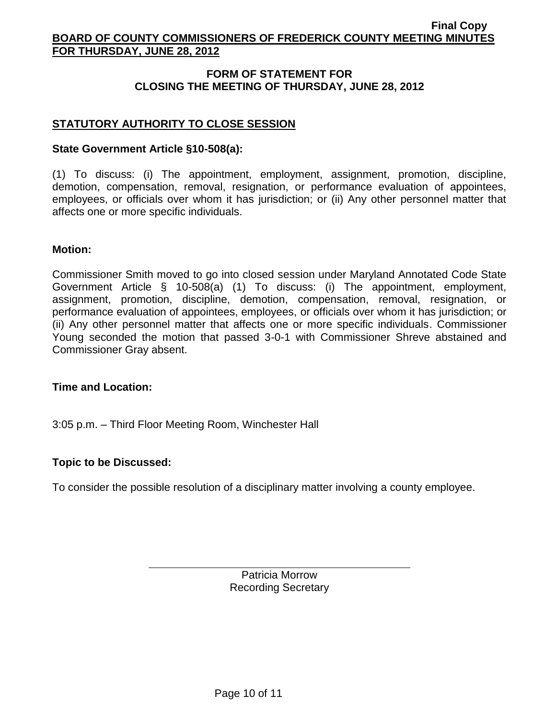## **FORM OF STATEMENT FOR CLOSING THE MEETING OF THURSDAY, JUNE 28, 2012**

# **STATUTORY AUTHORITY TO CLOSE SESSION**

### **State Government Article §10-508(a):**

(1) To discuss: (i) The appointment, employment, assignment, promotion, discipline, demotion, compensation, removal, resignation, or performance evaluation of appointees, employees, or officials over whom it has jurisdiction; or (ii) Any other personnel matter that affects one or more specific individuals.

### **Motion:**

Commissioner Smith moved to go into closed session under Maryland Annotated Code State Government Article § 10-508(a) (1) To discuss: (i) The appointment, employment, assignment, promotion, discipline, demotion, compensation, removal, resignation, or performance evaluation of appointees, employees, or officials over whom it has jurisdiction; or (ii) Any other personnel matter that affects one or more specific individuals. Commissioner Young seconded the motion that passed 3-0-1 with Commissioner Shreve abstained and Commissioner Gray absent.

**Time and Location:**

3:05 p.m. – Third Floor Meeting Room, Winchester Hall

## **Topic to be Discussed:**

To consider the possible resolution of a disciplinary matter involving a county employee.

Patricia Morrow Recording Secretary